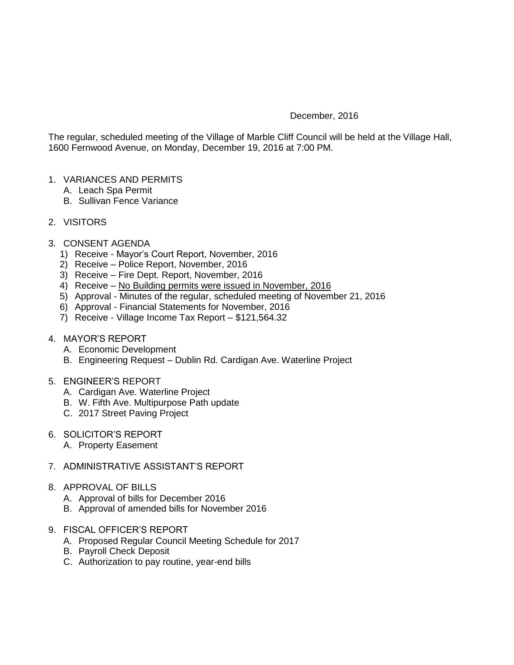## December, 2016

The regular, scheduled meeting of the Village of Marble Cliff Council will be held at the Village Hall, 1600 Fernwood Avenue, on Monday, December 19, 2016 at 7:00 PM.

- 1. VARIANCES AND PERMITS
	- A. Leach Spa Permit
	- B. Sullivan Fence Variance
- 2. VISITORS
- 3. CONSENT AGENDA
	- 1) Receive Mayor's Court Report, November, 2016
	- 2) Receive Police Report, November, 2016
	- 3) Receive Fire Dept. Report, November, 2016
	- 4) Receive No Building permits were issued in November, 2016
	- 5) Approval Minutes of the regular, scheduled meeting of November 21, 2016
	- 6) Approval Financial Statements for November, 2016
	- 7) Receive Village Income Tax Report \$121,564.32
- 4. MAYOR'S REPORT
	- A. Economic Development
	- B. Engineering Request Dublin Rd. Cardigan Ave. Waterline Project
- 5. ENGINEER'S REPORT
	- A. Cardigan Ave. Waterline Project
	- B. W. Fifth Ave. Multipurpose Path update
	- C. 2017 Street Paving Project
- 6. SOLICITOR'S REPORT
	- A. Property Easement
- 7. ADMINISTRATIVE ASSISTANT'S REPORT
- 8. APPROVAL OF BILLS
	- A. Approval of bills for December 2016
	- B. Approval of amended bills for November 2016
- 9. FISCAL OFFICER'S REPORT
	- A. Proposed Regular Council Meeting Schedule for 2017
	- B. Payroll Check Deposit
	- C. Authorization to pay routine, year-end bills